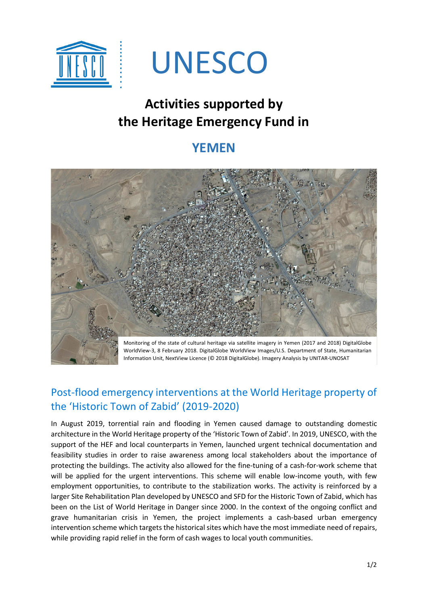

# UNESCO

## **Activities supported by the Heritage Emergency Fund in**

### **YEMEN**



WorldView-3, 8 February 2018. DigitalGlobe WorldView Images/U.S. Department of State, Humanitarian Information Unit, NextView Licence (© 2018 DigitalGlobe). Imagery Analysis by UNITAR-UNOSAT

#### Post-flood emergency interventions at the World Heritage property of the 'Historic Town of Zabid' (2019-2020)

In August 2019, torrential rain and flooding in Yemen caused damage to outstanding domestic architecture in the World Heritage property of the 'Historic Town of Zabid'. In 2019, UNESCO, with the support of the HEF and local counterparts in Yemen, launched urgent technical documentation and feasibility studies in order to raise awareness among local stakeholders about the importance of protecting the buildings. The activity also allowed for the fine-tuning of a cash-for-work scheme that will be applied for the urgent interventions. This scheme will enable low-income youth, with few employment opportunities, to contribute to the stabilization works. The activity is reinforced by a larger Site Rehabilitation Plan developed by UNESCO and SFD for the Historic Town of Zabid, which has been on the List of World Heritage in Danger since 2000. In the context of the ongoing conflict and grave humanitarian crisis in Yemen, the project implements a cash-based urban emergency intervention scheme which targets the historical sites which have the most immediate need of repairs, while providing rapid relief in the form of cash wages to local youth communities.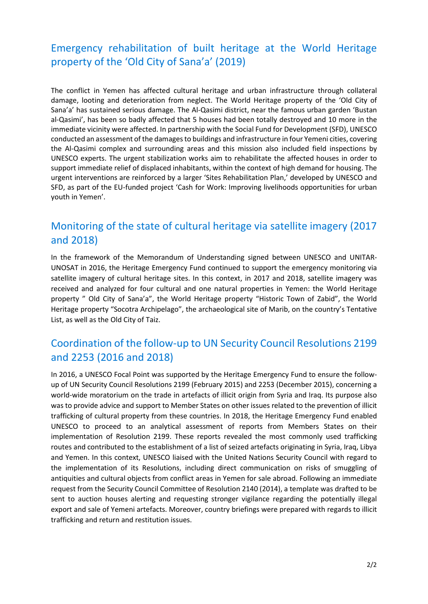#### Emergency rehabilitation of built heritage at the World Heritage property of the 'Old City of Sana'a' (2019)

The conflict in Yemen has affected cultural heritage and urban infrastructure through collateral damage, looting and deterioration from neglect. The World Heritage property of the 'Old City of Sana'a' has sustained serious damage. The Al-Qasimi district, near the famous urban garden 'Bustan al-Qasimi', has been so badly affected that 5 houses had been totally destroyed and 10 more in the immediate vicinity were affected. In partnership with the Social Fund for Development (SFD), UNESCO conducted an assessment of the damages to buildings and infrastructure in four Yemeni cities, covering the Al-Qasimi complex and surrounding areas and this mission also included field inspections by UNESCO experts. The urgent stabilization works aim to rehabilitate the affected houses in order to support immediate relief of displaced inhabitants, within the context of high demand for housing. The urgent interventions are reinforced by a larger 'Sites Rehabilitation Plan,' developed by UNESCO and SFD, as part of the EU-funded project 'Cash for Work: Improving livelihoods opportunities for urban youth in Yemen'.

#### Monitoring of the state of cultural heritage via satellite imagery (2017 and 2018)

In the framework of the Memorandum of Understanding signed between UNESCO and UNITAR-UNOSAT in 2016, the Heritage Emergency Fund continued to support the emergency monitoring via satellite imagery of cultural heritage sites. In this context, in 2017 and 2018, satellite imagery was received and analyzed for four cultural and one natural properties in Yemen: the World Heritage property " Old City of Sana'a", the World Heritage property "Historic Town of Zabid", the World Heritage property "Socotra Archipelago", the archaeological site of Marib, on the country's Tentative List, as well as the Old City of Taiz.

#### Coordination of the follow-up to UN Security Council Resolutions 2199 and 2253 (2016 and 2018)

In 2016, a UNESCO Focal Point was supported by the Heritage Emergency Fund to ensure the followup of UN Security Council Resolutions 2199 (February 2015) and 2253 (December 2015), concerning a world-wide moratorium on the trade in artefacts of illicit origin from Syria and Iraq. Its purpose also was to provide advice and support to Member States on other issues related to the prevention of illicit trafficking of cultural property from these countries. In 2018, the Heritage Emergency Fund enabled UNESCO to proceed to an analytical assessment of reports from Members States on their implementation of Resolution 2199. These reports revealed the most commonly used trafficking routes and contributed to the establishment of a list of seized artefacts originating in Syria, Iraq, Libya and Yemen. In this context, UNESCO liaised with the United Nations Security Council with regard to the implementation of its Resolutions, including direct communication on risks of smuggling of antiquities and cultural objects from conflict areas in Yemen for sale abroad. Following an immediate request from the Security Council Committee of Resolution 2140 (2014), a template was drafted to be sent to auction houses alerting and requesting stronger vigilance regarding the potentially illegal export and sale of Yemeni artefacts. Moreover, country briefings were prepared with regards to illicit trafficking and return and restitution issues.